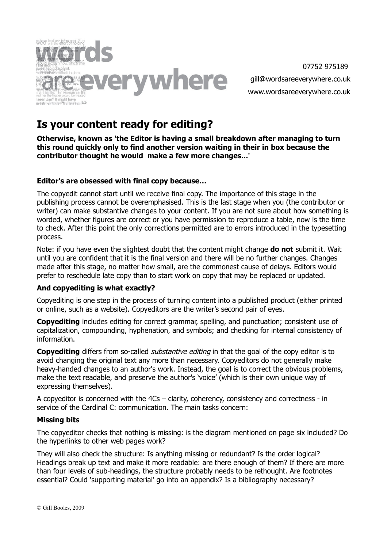

# **Is your content ready for editing?**

**Otherwise, known as 'the Editor is having a small breakdown after managing to turn this round quickly only to find another version waiting in their in box because the contributor thought he would make a few more changes...'**

#### **Editor's are obsessed with final copy because…**

The copyedit cannot start until we receive final copy. The importance of this stage in the publishing process cannot be overemphasised. This is the last stage when you (the contributor or writer) can make substantive changes to your content. If you are not sure about how something is worded, whether figures are correct or you have permission to reproduce a table, now is the time to check. After this point the only corrections permitted are to errors introduced in the typesetting process.

Note: if you have even the slightest doubt that the content might change **do not** submit it. Wait until you are confident that it is the final version and there will be no further changes. Changes made after this stage, no matter how small, are the commonest cause of delays. Editors would prefer to reschedule late copy than to start work on copy that may be replaced or updated.

#### **And copyediting is what exactly?**

Copyediting is one step in the process of turning content into a published product (either printed or online, such as a website). Copyeditors are the writer's second pair of eyes.

**Copyediting** includes editing for correct grammar, spelling, and punctuation; consistent use of capitalization, compounding, hyphenation, and symbols; and checking for internal consistency of information.

**Copyediting** differs from so-called *substantive editing* in that the goal of the copy editor is to avoid changing the original text any more than necessary. Copyeditors do not generally make heavy-handed changes to an author's work. Instead, the goal is to correct the obvious problems, make the text readable, and preserve the author's 'voice' (which is their own unique way of expressing themselves).

A copyeditor is concerned with the 4Cs – clarity, coherency, consistency and correctness - in service of the Cardinal C: communication. The main tasks concern:

#### **Missing bits**

The copyeditor checks that nothing is missing: is the diagram mentioned on page six included? Do the hyperlinks to other web pages work?

They will also check the structure: Is anything missing or redundant? Is the order logical? Headings break up text and make it more readable: are there enough of them? If there are more than four levels of sub-headings, the structure probably needs to be rethought. Are footnotes essential? Could 'supporting material' go into an appendix? Is a bibliography necessary?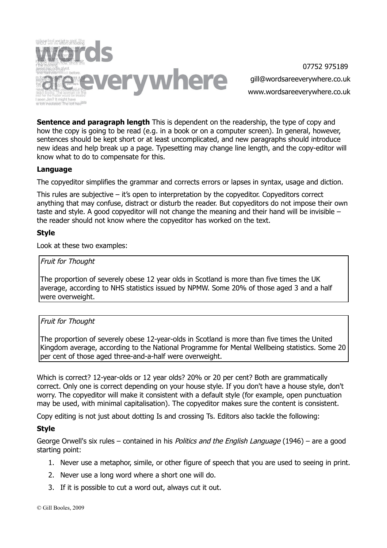

**Sentence and paragraph length** This is dependent on the readership, the type of copy and how the copy is going to be read (e.g. in a book or on a computer screen). In general, however, sentences should be kept short or at least uncomplicated, and new paragraphs should introduce new ideas and help break up a page. Typesetting may change line length, and the copy-editor will know what to do to compensate for this.

#### **Language**

The copyeditor simplifies the grammar and corrects errors or lapses in syntax, usage and diction.

This rules are subjective – it's open to interpretation by the copyeditor. Copyeditors correct anything that may confuse, distract or disturb the reader. But copyeditors do not impose their own taste and style. A good copyeditor will not change the meaning and their hand will be invisible – the reader should not know where the copyeditor has worked on the text.

## **Style**

Look at these two examples:

#### Fruit for Thought

The proportion of severely obese 12 year olds in Scotland is more than five times the UK average, according to NHS statistics issued by NPMW. Some 20% of those aged 3 and a half were overweight.

#### Fruit for Thought

The proportion of severely obese 12-year-olds in Scotland is more than five times the United Kingdom average, according to the National Programme for Mental Wellbeing statistics. Some 20 per cent of those aged three-and-a-half were overweight.

Which is correct? 12-year-olds or 12 year olds? 20% or 20 per cent? Both are grammatically correct. Only one is correct depending on your house style. If you don't have a house style, don't worry. The copyeditor will make it consistent with a default style (for example, open punctuation may be used, with minimal capitalisation). The copyeditor makes sure the content is consistent.

Copy editing is not just about dotting Is and crossing Ts. Editors also tackle the following:

#### **Style**

George Orwell's six rules – contained in his *Politics and the English Language* (1946) – are a good starting point:

- 1. Never use a metaphor, simile, or other figure of speech that you are used to seeing in print.
- 2. Never use a long word where a short one will do.
- 3. If it is possible to cut a word out, always cut it out.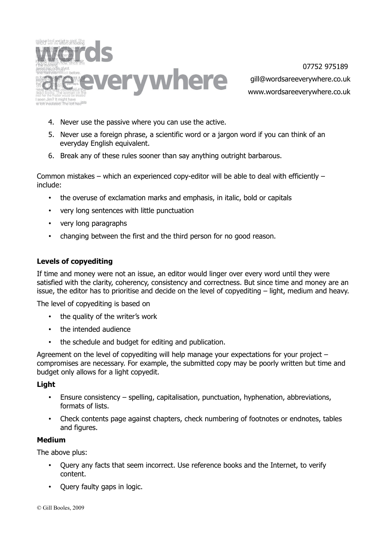

- 4. Never use the passive where you can use the active.
- 5. Never use a foreign phrase, a scientific word or a jargon word if you can think of an everyday English equivalent.
- 6. Break any of these rules sooner than say anything outright barbarous.

Common mistakes – which an experienced copy-editor will be able to deal with efficiently – include:

- the overuse of exclamation marks and emphasis, in italic, bold or capitals
- very long sentences with little punctuation
- very long paragraphs
- changing between the first and the third person for no good reason.

#### **Levels of copyediting**

If time and money were not an issue, an editor would linger over every word until they were satisfied with the clarity, coherency, consistency and correctness. But since time and money are an issue, the editor has to prioritise and decide on the level of copyediting – light, medium and heavy.

The level of copyediting is based on

- the quality of the writer's work
- the intended audience
- the schedule and budget for editing and publication.

Agreement on the level of copyediting will help manage your expectations for your project – compromises are necessary. For example, the submitted copy may be poorly written but time and budget only allows for a light copyedit.

#### **Light**

- Ensure consistency spelling, capitalisation, punctuation, hyphenation, abbreviations, formats of lists.
- Check contents page against chapters, check numbering of footnotes or endnotes, tables and figures.

#### **Medium**

The above plus:

- Query any facts that seem incorrect. Use reference books and the Internet, to verify content.
- Query faulty gaps in logic.